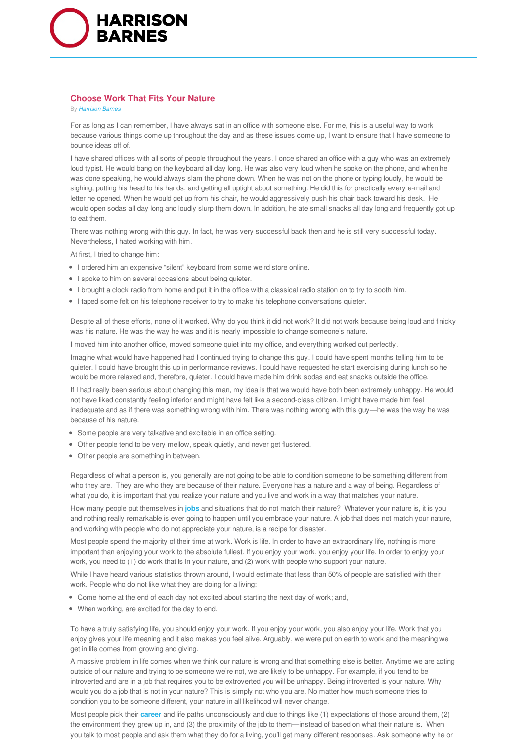

## **Choose Work That Fits Your Nature**

By *Harrison Barnes*

For as long as I can remember, I have always sat in an office with someone else. For me, this is a useful way to work because various things come up throughout the day and as these issues come up, I want to ensure that I have someone to bounce ideas off of.

I have shared offices with all sorts of people throughout the years. I once shared an office with a guy who was an extremely loud typist. He would bang on the keyboard all day long. He was also very loud when he spoke on the phone, and when he was done speaking, he would always slam the phone down. When he was not on the phone or typing loudly, he would be sighing, putting his head to his hands, and getting all uptight about something. He did this for practically every e-mail and letter he opened. When he would get up from his chair, he would aggressively push his chair back toward his desk. He would open sodas all day long and loudly slurp them down. In addition, he ate small snacks all day long and frequently got up to eat them.

There was nothing wrong with this guy. In fact, he was very successful back then and he is still very successful today. Nevertheless, I hated working with him.

At first, I tried to change him:

- I ordered him an expensive "silent" keyboard from some weird store online.
- I spoke to him on several occasions about being quieter.
- I brought a clock radio from home and put it in the office with a classical radio station on to try to sooth him.
- I taped some felt on his telephone receiver to try to make his telephone conversations quieter.

Despite all of these efforts, none of it worked. Why do you think it did not work? It did not work because being loud and finicky was his nature. He was the way he was and it is nearly impossible to change someone's nature.

I moved him into another office, moved someone quiet into my office, and everything worked out perfectly.

Imagine what would have happened had I continued trying to change this guy. I could have spent months telling him to be quieter. I could have brought this up in performance reviews. I could have requested he start exercising during lunch so he would be more relaxed and, therefore, quieter. I could have made him drink sodas and eat snacks outside the office.

If I had really been serious about changing this man, my idea is that we would have both been extremely unhappy. He would not have liked constantly feeling inferior and might have felt like a second-class citizen. I might have made him feel inadequate and as if there was something wrong with him. There was nothing wrong with this guy—he was the way he was because of his nature.

- Some people are very talkative and excitable in an office setting.
- Other people tend to be very mellow, speak quietly, and never get flustered.
- Other people are something in between.

Regardless of what a person is, you generally are not going to be able to condition someone to be something different from who they are. They are who they are because of their nature. Everyone has a nature and a way of being. Regardless of what you do, it is important that you realize your nature and you live and work in a way that matches your nature.

How many people put themselves in **jobs** and situations that do not match their nature? Whatever your nature is, it is you and nothing really remarkable is ever going to happen until you embrace your nature. A job that does not match your nature, and working with people who do not appreciate your nature, is a recipe for disaster.

Most people spend the majority of their time at work. Work is life. In order to have an extraordinary life, nothing is more important than enjoying your work to the absolute fullest. If you enjoy your work, you enjoy your life. In order to enjoy your work, you need to (1) do work that is in your nature, and (2) work with people who support your nature.

While I have heard various statistics thrown around, I would estimate that less than 50% of people are satisfied with their work. People who do not like what they are doing for a living:

- Come home at the end of each day not excited about starting the next day of work; and,
- When working, are excited for the day to end.

To have a truly satisfying life, you should enjoy your work. If you enjoy your work, you also enjoy your life. Work that you enjoy gives your life meaning and it also makes you feel alive. Arguably, we were put on earth to work and the meaning we get in life comes from growing and giving.

A massive problem in life comes when we think our nature is wrong and that something else is better. Anytime we are acting outside of our nature and trying to be someone we're not, we are likely to be unhappy. For example, if you tend to be introverted and are in a job that requires you to be extroverted you will be unhappy. Being introverted is your nature. Why would you do a job that is not in your nature? This is simply not who you are. No matter how much someone tries to condition you to be someone different, your nature in all likelihood will never change.

Most people pick their **career** and life paths unconsciously and due to things like (1) expectations of those around them, (2) the environment they grew up in, and (3) the proximity of the job to them—instead of based on what their nature is. When you talk to most people and ask them what they do for a living, you'll get many different responses. Ask someone why he or